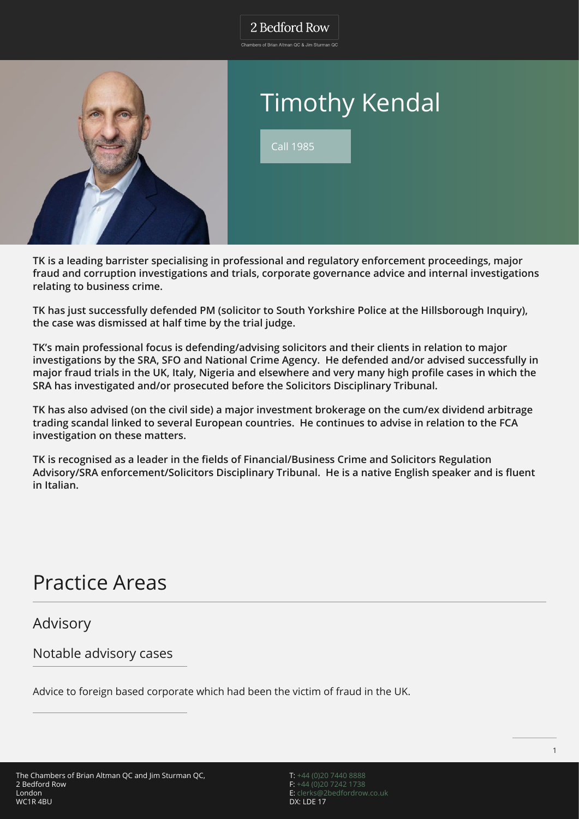.<br>Chambers of Brian Altman OC & Jim Sturman OC



# Timothy Kendal

Call 1985

**TK is a leading barrister specialising in professional and regulatory enforcement proceedings, major fraud and corruption investigations and trials, corporate governance advice and internal investigations relating to business crime.**

**TK has just successfully defended PM (solicitor to South Yorkshire Police at the Hillsborough Inquiry), the case was dismissed at half time by the trial judge.**

**TK's main professional focus is defending/advising solicitors and their clients in relation to major investigations by the SRA, SFO and National Crime Agency. He defended and/or advised successfully in major fraud trials in the UK, Italy, Nigeria and elsewhere and very many high profile cases in which the SRA has investigated and/or prosecuted before the Solicitors Disciplinary Tribunal.**

**TK has also advised (on the civil side) a major investment brokerage on the cum/ex dividend arbitrage trading scandal linked to several European countries. He continues to advise in relation to the FCA investigation on these matters.**

**TK is recognised as a leader in the fields of Financial/Business Crime and Solicitors Regulation Advisory/SRA enforcement/Solicitors Disciplinary Tribunal. He is a native English speaker and is fluent in Italian.**

# Practice Areas

Advisory

Notable advisory cases

Advice to foreign based corporate which had been the victim of fraud in the UK.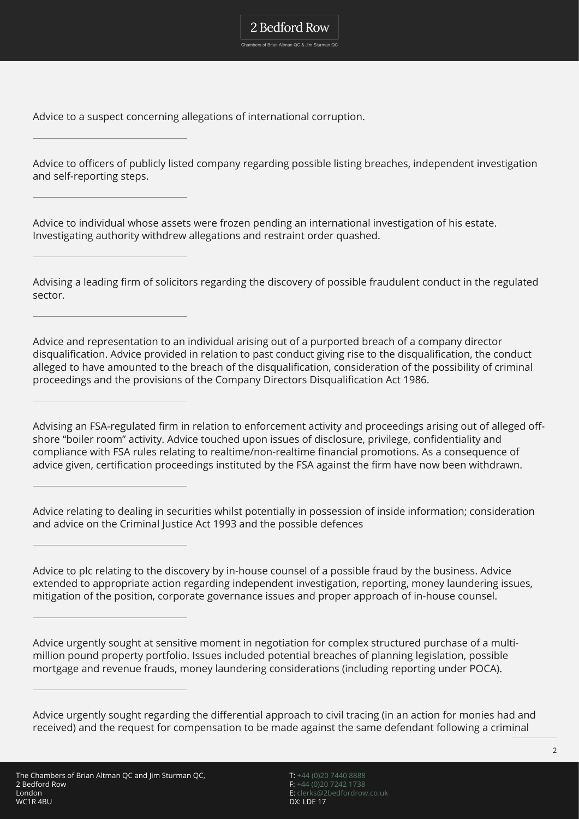Advice to a suspect concerning allegations of international corruption.

Advice to officers of publicly listed company regarding possible listing breaches, independent investigation and self-reporting steps.

2 Bedford Row Chambers of Brian Altman QC & Jim Sturman QC

Advice to individual whose assets were frozen pending an international investigation of his estate. Investigating authority withdrew allegations and restraint order quashed.

Advising a leading firm of solicitors regarding the discovery of possible fraudulent conduct in the regulated sector.

Advice and representation to an individual arising out of a purported breach of a company director disqualification. Advice provided in relation to past conduct giving rise to the disqualification, the conduct alleged to have amounted to the breach of the disqualification, consideration of the possibility of criminal proceedings and the provisions of the Company Directors Disqualification Act 1986.

Advising an FSA-regulated firm in relation to enforcement activity and proceedings arising out of alleged offshore "boiler room" activity. Advice touched upon issues of disclosure, privilege, confidentiality and compliance with FSA rules relating to realtime/non-realtime financial promotions. As a consequence of advice given, certification proceedings instituted by the FSA against the firm have now been withdrawn.

Advice relating to dealing in securities whilst potentially in possession of inside information; consideration and advice on the Criminal Justice Act 1993 and the possible defences

Advice to plc relating to the discovery by in-house counsel of a possible fraud by the business. Advice extended to appropriate action regarding independent investigation, reporting, money laundering issues, mitigation of the position, corporate governance issues and proper approach of in-house counsel.

Advice urgently sought at sensitive moment in negotiation for complex structured purchase of a multimillion pound property portfolio. Issues included potential breaches of planning legislation, possible mortgage and revenue frauds, money laundering considerations (including reporting under POCA).

Advice urgently sought regarding the differential approach to civil tracing (in an action for monies had and received) and the request for compensation to be made against the same defendant following a criminal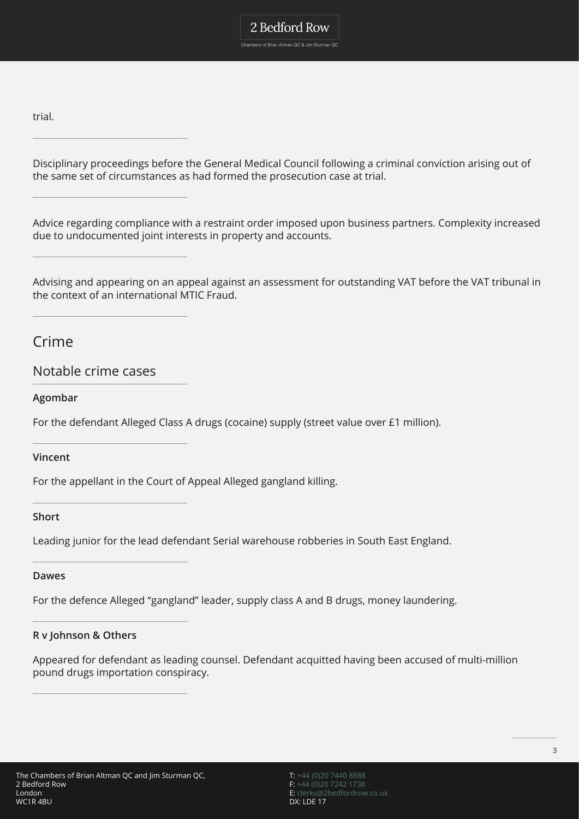Chambers of Brian Altman QC & Jim Sturman QC

trial.

Disciplinary proceedings before the General Medical Council following a criminal conviction arising out of the same set of circumstances as had formed the prosecution case at trial.

Advice regarding compliance with a restraint order imposed upon business partners. Complexity increased due to undocumented joint interests in property and accounts.

Advising and appearing on an appeal against an assessment for outstanding VAT before the VAT tribunal in the context of an international MTIC Fraud.

Crime

Notable crime cases

**Agombar**

For the defendant Alleged Class A drugs (cocaine) supply (street value over £1 million).

**Vincent**

For the appellant in the Court of Appeal Alleged gangland killing.

### **Short**

Leading junior for the lead defendant Serial warehouse robberies in South East England.

### **Dawes**

For the defence Alleged "gangland" leader, supply class A and B drugs, money laundering.

### **R v Johnson & Others**

Appeared for defendant as leading counsel. Defendant acquitted having been accused of multi-million pound drugs importation conspiracy.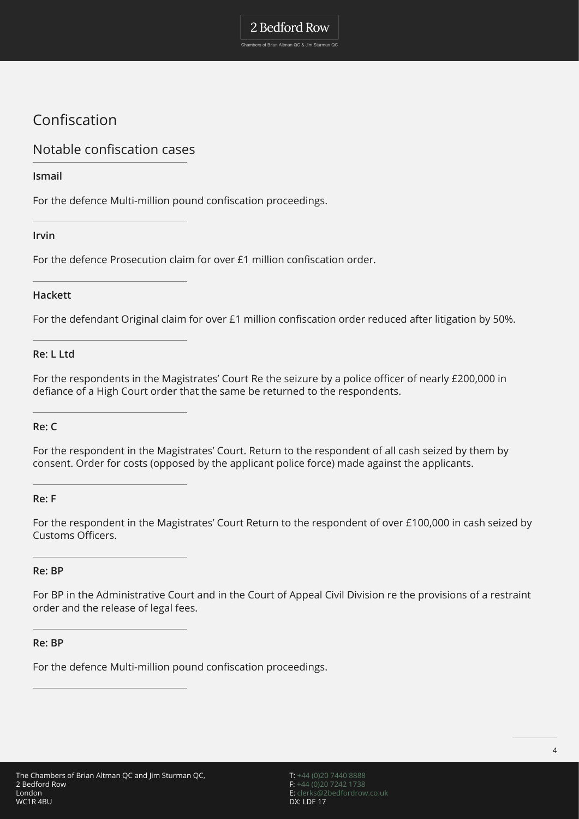Chambers of Brian Altman QC & Jim Sturman QC

# Confiscation

## Notable confiscation cases

### **Ismail**

For the defence Multi-million pound confiscation proceedings.

### **Irvin**

For the defence Prosecution claim for over £1 million confiscation order.

### **Hackett**

For the defendant Original claim for over £1 million confiscation order reduced after litigation by 50%.

### **Re: L Ltd**

For the respondents in the Magistrates' Court Re the seizure by a police officer of nearly £200,000 in defiance of a High Court order that the same be returned to the respondents.

### **Re: C**

For the respondent in the Magistrates' Court. Return to the respondent of all cash seized by them by consent. Order for costs (opposed by the applicant police force) made against the applicants.

### **Re: F**

For the respondent in the Magistrates' Court Return to the respondent of over £100,000 in cash seized by Customs Officers.

### **Re: BP**

For BP in the Administrative Court and in the Court of Appeal Civil Division re the provisions of a restraint order and the release of legal fees.

### **Re: BP**

For the defence Multi-million pound confiscation proceedings.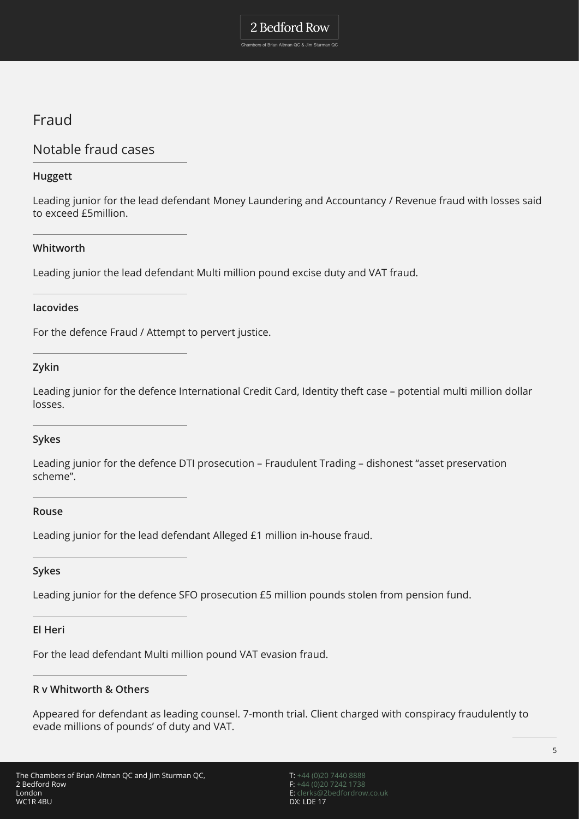Chambers of Brian Altman QC & Jim Sturman QC

# Fraud

## Notable fraud cases

### **Huggett**

Leading junior for the lead defendant Money Laundering and Accountancy / Revenue fraud with losses said to exceed £5million.

### **Whitworth**

Leading junior the lead defendant Multi million pound excise duty and VAT fraud.

### **Iacovides**

For the defence Fraud / Attempt to pervert justice.

### **Zykin**

Leading junior for the defence International Credit Card, Identity theft case – potential multi million dollar losses.

### **Sykes**

Leading junior for the defence DTI prosecution – Fraudulent Trading – dishonest "asset preservation scheme".

### **Rouse**

Leading junior for the lead defendant Alleged £1 million in-house fraud.

### **Sykes**

Leading junior for the defence SFO prosecution £5 million pounds stolen from pension fund.

### **El Heri**

For the lead defendant Multi million pound VAT evasion fraud.

### **R v Whitworth & Others**

Appeared for defendant as leading counsel. 7-month trial. Client charged with conspiracy fraudulently to evade millions of pounds' of duty and VAT.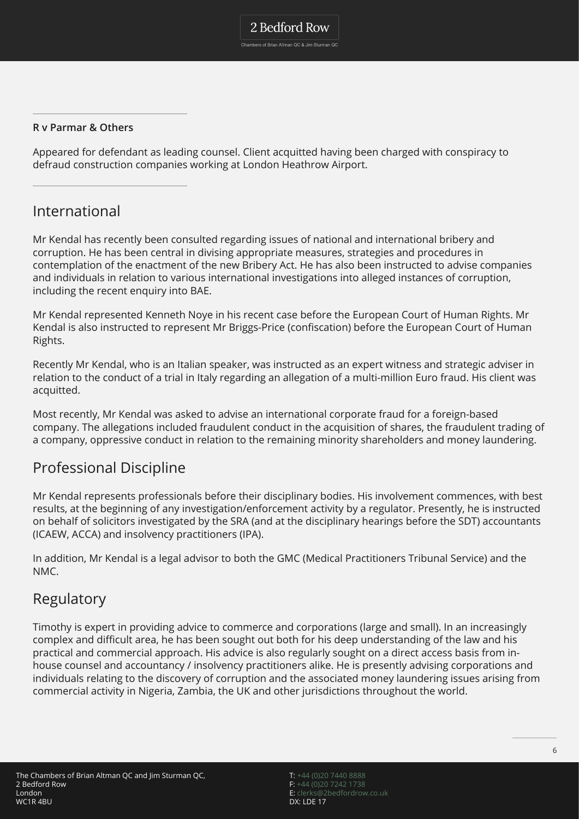### **R v Parmar & Others**

Appeared for defendant as leading counsel. Client acquitted having been charged with conspiracy to defraud construction companies working at London Heathrow Airport.

### International

Mr Kendal has recently been consulted regarding issues of national and international bribery and corruption. He has been central in divising appropriate measures, strategies and procedures in contemplation of the enactment of the new Bribery Act. He has also been instructed to advise companies and individuals in relation to various international investigations into alleged instances of corruption, including the recent enquiry into BAE.

Mr Kendal represented Kenneth Noye in his recent case before the European Court of Human Rights. Mr Kendal is also instructed to represent Mr Briggs-Price (confiscation) before the European Court of Human Rights.

Recently Mr Kendal, who is an Italian speaker, was instructed as an expert witness and strategic adviser in relation to the conduct of a trial in Italy regarding an allegation of a multi-million Euro fraud. His client was acquitted.

Most recently, Mr Kendal was asked to advise an international corporate fraud for a foreign-based company. The allegations included fraudulent conduct in the acquisition of shares, the fraudulent trading of a company, oppressive conduct in relation to the remaining minority shareholders and money laundering.

## Professional Discipline

Mr Kendal represents professionals before their disciplinary bodies. His involvement commences, with best results, at the beginning of any investigation/enforcement activity by a regulator. Presently, he is instructed on behalf of solicitors investigated by the SRA (and at the disciplinary hearings before the SDT) accountants (ICAEW, ACCA) and insolvency practitioners (IPA).

In addition, Mr Kendal is a legal advisor to both the GMC (Medical Practitioners Tribunal Service) and the NMC.

### Regulatory

Timothy is expert in providing advice to commerce and corporations (large and small). In an increasingly complex and difficult area, he has been sought out both for his deep understanding of the law and his practical and commercial approach. His advice is also regularly sought on a direct access basis from inhouse counsel and accountancy / insolvency practitioners alike. He is presently advising corporations and individuals relating to the discovery of corruption and the associated money laundering issues arising from commercial activity in Nigeria, Zambia, the UK and other jurisdictions throughout the world.